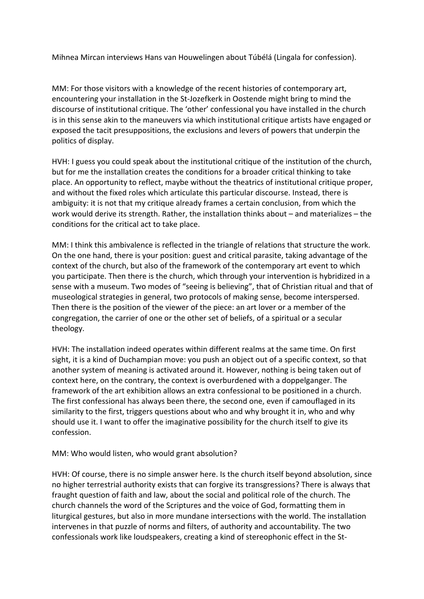Mihnea Mircan interviews Hans van Houwelingen about Túbélá (Lingala for confession).

MM: For those visitors with a knowledge of the recent histories of contemporary art, encountering your installation in the St-Jozefkerk in Oostende might bring to mind the discourse of institutional critique. The 'other' confessional you have installed in the church is in this sense akin to the maneuvers via which institutional critique artists have engaged or exposed the tacit presuppositions, the exclusions and levers of powers that underpin the politics of display.

HVH: I guess you could speak about the institutional critique of the institution of the church, but for me the installation creates the conditions for a broader critical thinking to take place. An opportunity to reflect, maybe without the theatrics of institutional critique proper, and without the fixed roles which articulate this particular discourse. Instead, there is ambiguity: it is not that my critique already frames a certain conclusion, from which the work would derive its strength. Rather, the installation thinks about – and materializes – the conditions for the critical act to take place.

MM: I think this ambivalence is reflected in the triangle of relations that structure the work. On the one hand, there is your position: guest and critical parasite, taking advantage of the context of the church, but also of the framework of the contemporary art event to which you participate. Then there is the church, which through your intervention is hybridized in a sense with a museum. Two modes of "seeing is believing", that of Christian ritual and that of museological strategies in general, two protocols of making sense, become interspersed. Then there is the position of the viewer of the piece: an art lover or a member of the congregation, the carrier of one or the other set of beliefs, of a spiritual or a secular theology.

HVH: The installation indeed operates within different realms at the same time. On first sight, it is a kind of Duchampian move: you push an object out of a specific context, so that another system of meaning is activated around it. However, nothing is being taken out of context here, on the contrary, the context is overburdened with a doppelganger. The framework of the art exhibition allows an extra confessional to be positioned in a church. The first confessional has always been there, the second one, even if camouflaged in its similarity to the first, triggers questions about who and why brought it in, who and why should use it. I want to offer the imaginative possibility for the church itself to give its confession.

## MM: Who would listen, who would grant absolution?

HVH: Of course, there is no simple answer here. Is the church itself beyond absolution, since no higher terrestrial authority exists that can forgive its transgressions? There is always that fraught question of faith and law, about the social and political role of the church. The church channels the word of the Scriptures and the voice of God, formatting them in liturgical gestures, but also in more mundane intersections with the world. The installation intervenes in that puzzle of norms and filters, of authority and accountability. The two confessionals work like loudspeakers, creating a kind of stereophonic effect in the St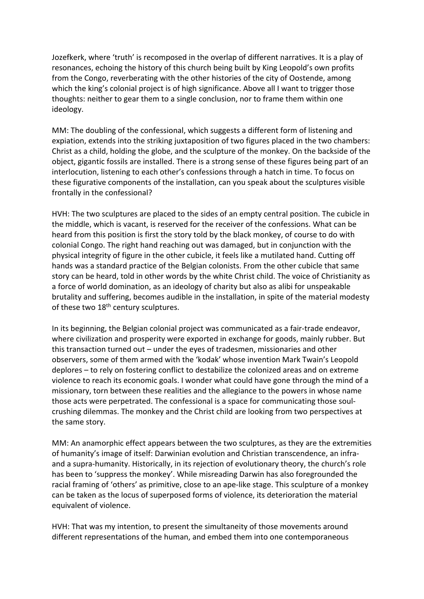Jozefkerk, where 'truth' is recomposed in the overlap of different narratives. It is a play of resonances, echoing the history of this church being built by King Leopold's own profits from the Congo, reverberating with the other histories of the city of Oostende, among which the king's colonial project is of high significance. Above all I want to trigger those thoughts: neither to gear them to a single conclusion, nor to frame them within one ideology.

MM: The doubling of the confessional, which suggests a different form of listening and expiation, extends into the striking juxtaposition of two figures placed in the two chambers: Christ as a child, holding the globe, and the sculpture of the monkey. On the backside of the object, gigantic fossils are installed. There is a strong sense of these figures being part of an interlocution, listening to each other's confessions through a hatch in time. To focus on these figurative components of the installation, can you speak about the sculptures visible frontally in the confessional?

HVH: The two sculptures are placed to the sides of an empty central position. The cubicle in the middle, which is vacant, is reserved for the receiver of the confessions. What can be heard from this position is first the story told by the black monkey, of course to do with colonial Congo. The right hand reaching out was damaged, but in conjunction with the physical integrity of figure in the other cubicle, it feels like a mutilated hand. Cutting off hands was a standard practice of the Belgian colonists. From the other cubicle that same story can be heard, told in other words by the white Christ child. The voice of Christianity as a force of world domination, as an ideology of charity but also as alibi for unspeakable brutality and suffering, becomes audible in the installation, in spite of the material modesty of these two 18<sup>th</sup> century sculptures.

In its beginning, the Belgian colonial project was communicated as a fair-trade endeavor, where civilization and prosperity were exported in exchange for goods, mainly rubber. But this transaction turned out – under the eyes of tradesmen, missionaries and other observers, some of them armed with the 'kodak' whose invention Mark Twain's Leopold deplores – to rely on fostering conflict to destabilize the colonized areas and on extreme violence to reach its economic goals. I wonder what could have gone through the mind of a missionary, torn between these realities and the allegiance to the powers in whose name those acts were perpetrated. The confessional is a space for communicating those soulcrushing dilemmas. The monkey and the Christ child are looking from two perspectives at the same story.

MM: An anamorphic effect appears between the two sculptures, as they are the extremities of humanity's image of itself: Darwinian evolution and Christian transcendence, an infraand a supra-humanity. Historically, in its rejection of evolutionary theory, the church's role has been to 'suppress the monkey'. While misreading Darwin has also foregrounded the racial framing of 'others' as primitive, close to an ape-like stage. This sculpture of a monkey can be taken as the locus of superposed forms of violence, its deterioration the material equivalent of violence.

HVH: That was my intention, to present the simultaneity of those movements around different representations of the human, and embed them into one contemporaneous